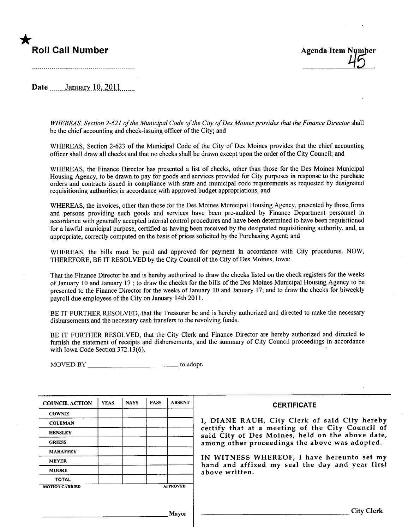# \*

Date  $\frac{\text{January }10,2011}{\text{January}}$ 

WHEREAS, Section 2-621 of the Municipal Code of the City of Des Moines provides that the Finance Director shall be the chief accounting and check-issuing officer of the City; and

WHEREAS, Section 2-623 of the Municipal Code of the City of Des Moines provides that the chief accounting offcer shall draw all checks and that no checks shall be drawn except upon the order of the City Council; and

WHEREAS, the Finance Director has presented a list of checks, other than those for the Des Moines Municipal Housing Agency, to be drawn to pay for goods and services provided for City purposes in response to the purchase orders and contracts issued in compliance with state and municipal code requirements as requested by designated requisitioning authorities in accordance with approved budget appropriations; and

WHEREAS, the invoices, other than those for the Des Moines Municipal Housing Agency, presented by those firms and persons providing such goods and services have been pre-audited by Finance Department personnel in accordance with generally accepted internal control procedures and have been determined to have been requisitioned for a lawful municipal purose, certified as having been received by the designated requisitioning authority, and, as appropriate, correctly computed on the basis of prices solicited by the Purchasing Agent; and

WHEREAS, the bils must be paid and approved for payment in accordance with City procedures. NOW, THEREFORE, BE IT RESOLVED by the City Council of the City of Des Moines, Iowa:

That the Finance Director be and is hereby authorized to draw the checks listed on the check registers for the weeks of January 10 and January 17 ; to draw the checks for the bils of the Des Moines Municipal Housing Agency to be presented to the Finance Director for the weeks of January 10 and January 17; and to draw the checks for biweekly payroll due employees of the City on January 14th 2011.

BE IT FURTHER RESOLVED, that the Treasurer be and is hereby authorized and directed to make the necessary disbursements and the necessary cash transfers to the revolving funds.

BE IT FURTHER RESOLVED, that the City Clerk and Finance Director are hereby authorized and directed to furnish the statement of receipts and disbursements, and the summary of City Council proceedings in accordance with Iowa Code Section 372.13(6).

MOVED BY \_\_\_\_\_\_\_\_\_\_\_\_\_\_\_\_\_\_\_\_\_\_\_\_\_\_\_\_\_\_\_\_\_ to adopt.

| <b>COUNCIL ACTION</b> | <b>YEAS</b> | <b>NAYS</b> | <b>PASS</b> | <b>ABSENT</b>   | <b>CERTIFICATE</b>                                                                                   |
|-----------------------|-------------|-------------|-------------|-----------------|------------------------------------------------------------------------------------------------------|
| <b>COWNIE</b>         |             |             |             |                 |                                                                                                      |
| <b>COLEMAN</b>        |             |             |             |                 | I, DIANE RAUH, City Clerk of said City hereby                                                        |
| <b>HENSLEY</b>        |             |             |             |                 | certify that at a meeting of the City Council of<br>said City of Des Moines, held on the above date, |
| <b>GRIESS</b>         |             |             |             |                 | among other proceedings the above was adopted.                                                       |
| <b>MAHAFFEY</b>       |             |             |             |                 |                                                                                                      |
| <b>MEYER</b>          |             |             |             |                 | IN WITNESS WHEREOF, I have hereunto set my<br>hand and affixed my seal the day and year first        |
| <b>MOORE</b>          |             |             |             |                 | above written.                                                                                       |
| <b>TOTAL</b>          |             |             |             |                 |                                                                                                      |
| <b>MOTION CARRIED</b> |             |             |             | <b>APPROVED</b> |                                                                                                      |
|                       |             |             |             |                 |                                                                                                      |
|                       |             |             |             | Mavor           | <b>City Clerk</b>                                                                                    |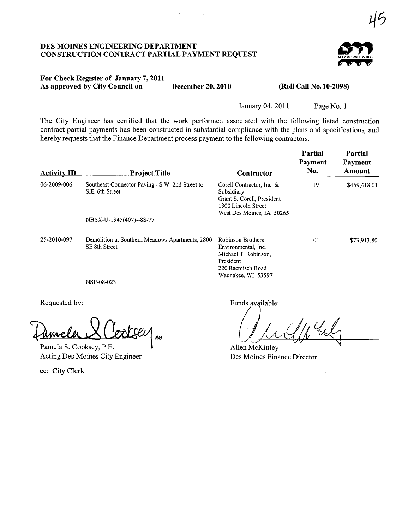#### DES MOINES ENGINEERIG DEPARTMENT CONSTRUCTION CONTRACT PARTIAL PAYMENT REQUEST



45

#### For Check Register of January 7,2011 As approved by City Council on December 20, 2010 (Roll Call No. 10-2098)

January 04,2011 Page No. I

The City Engineer has certified that the work performed associated with the following listed construction contract partial payments has been constructed in substantial compliance with the plans and specifications, and hereby requests that the Finance Department process payment to the following contractors:

 $\bar{\mathcal{A}}$ 

| <b>Activity ID</b> | <b>Project Title</b>                                               | Contractor                                                                                                                      | Partial<br>Payment<br>No. | Partial<br>Payment<br>Amount |
|--------------------|--------------------------------------------------------------------|---------------------------------------------------------------------------------------------------------------------------------|---------------------------|------------------------------|
| 06-2009-006        | Southeast Connector Paving - S.W. 2nd Street to<br>S.E. 6th Street | Corell Contractor, Inc. &<br>Subsidiary<br>Grant S. Corell, President<br>1300 Lincoln Street<br>West Des Moines, IA 50265       | 19                        | \$459,418.01                 |
|                    | NHSX-U-1945(407)--8S-77                                            |                                                                                                                                 |                           |                              |
| 25-2010-097        | Demolition at Southern Meadows Apartments, 2800<br>SE 8th Street   | <b>Robinson Brothers</b><br>Environmental, Inc.<br>Michael T. Robinson,<br>President<br>220 Raemisch Road<br>Waunakee, WI 53597 | 01                        | \$73,913.80                  |

NSP-08-023

Requested by:

 $\frac{1}{2}$ amela S. Cooksey, P.E.

cc: City Clerk

Funds available:

Allen McKinley Des Moines Finance Director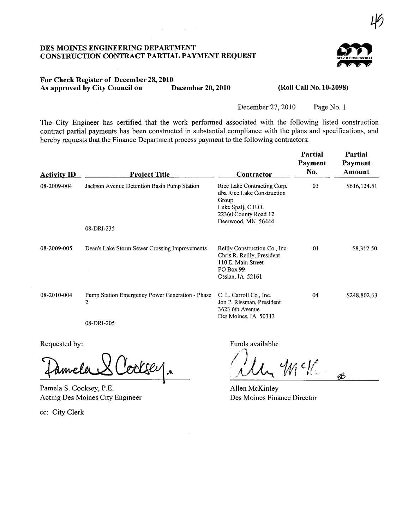#### DES MOINES ENGINEERING DEPARTMENT CONSTRUCTION CONTRACT PARTIAL PAYMENT REQUEST



45

#### For Check Register of December 28, 2010<br>As approved by City Council on December 20, 2010 As approved by City Council on December 20, 2010 (Roll Call No. 10-2098)

December 27,2010 Page No.1

The City Engineer has certified that the work performed associated with the following listed construction contract partial payments has been constructed in substantial compliance with the plans and specifications, and hereby requests that the Finance Department process payment to the following contractors:

| <b>Project Title</b>                                              | <u>Contractor</u>                                                                                                                      | Payment<br>No. | Payment<br>Amount |
|-------------------------------------------------------------------|----------------------------------------------------------------------------------------------------------------------------------------|----------------|-------------------|
| Jackson Avenue Detention Basin Pump Station                       | Rice Lake Contracting Corp.<br>dba Rice Lake Construction<br>Group<br>Luke Spalj, C.E.O.<br>22360 County Road 12<br>Deerwood, MN 56444 | 03             | \$616,124.51      |
| 08-DRI-235                                                        |                                                                                                                                        |                |                   |
| Dean's Lake Storm Sewer Crossing Improvements                     | Reilly Construction Co., Inc.<br>Chris R. Reilly, President<br>110 E. Main Street<br>PO Box 99<br>Ossian, IA $52161$                   | 01             | \$8,312.50        |
| Pump Station Emergency Power Generation - Phase<br>$\overline{2}$ | C. L. Carroll Co., Inc.<br>Jon P. Rissman, President<br>3623 6th Avenue<br>Des Moines, IA 50313                                        | 04             | \$248,802.63      |
|                                                                   | 08-DRI-205                                                                                                                             |                |                   |

Requested by:

 $2$  Cooksey.

Pamela S. Cooksey, P.E. Acting Des Moines City Engineer

cc: City Clerk

Funds available:

 $|C|/2$  $M_{\odot}$   $W_1$   $W_2$   $_{\text{BB}}$ 

Allen McKinley Des Moines Finance Director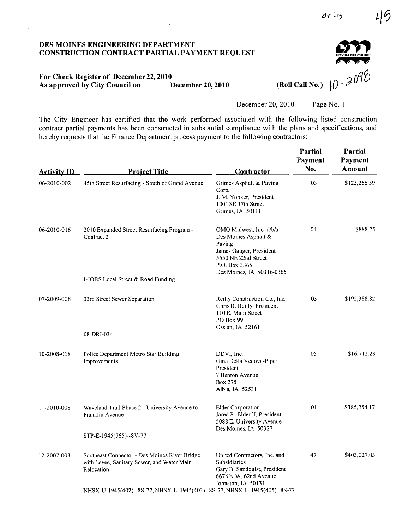$0$   $6$   $6$ 

#### DES MOINES ENGINEERING DEPARTMENT CONSTRUCTION CONTRACT PARTIAL PAYMENT REQUEST

 $\ddot{\phantom{a}}$ 

## For Check Register of December 22, 2010<br>As approved by City Council on December 20, 2010

December 20, 2010 Page No. 1

The City Engineer has certified that the work performed associated with the following listed construction contract partial payments has been constructed in substantial compliance with the plans and specifications, and hereby requests that the Finance Department process payment to the following contractors:

| <b>Activity ID</b> | <b>Project Title</b>                                                                                      | <b>Contractor</b>                                                                                                                                         | Partial<br>Payment<br>No. | Partial<br>Payment<br><b>Amount</b> |
|--------------------|-----------------------------------------------------------------------------------------------------------|-----------------------------------------------------------------------------------------------------------------------------------------------------------|---------------------------|-------------------------------------|
| 06-2010-002        | 45th Street Resurfacing - South of Grand Avenue                                                           | Grimes Asphalt & Paving<br>Corp.<br>J. M. Yonker, President<br>1001 SE 37th Street<br>Grimes, IA 50111                                                    | 03                        | \$125,266.39                        |
| 06-2010-016        | 2010 Expanded Street Resurfacing Program -<br>Contract 2                                                  | OMG Midwest, Inc. d/b/a<br>Des Moines Asphalt &<br>Paving<br>James Gauger, President<br>5550 NE 22nd Street<br>P.O. Box 3365<br>Des Moines, IA 50316-0365 | 04                        | \$888.25                            |
|                    | I-JOBS Local Street & Road Funding                                                                        |                                                                                                                                                           |                           |                                     |
| 07-2009-008        | 33rd Street Sewer Separation                                                                              | Reilly Construction Co., Inc.<br>Chris R. Reilly, President<br>110 E. Main Street<br>PO Box 99<br>Ossian, IA 52161                                        | 03                        | \$192,388.82                        |
|                    | 08-DRI-034                                                                                                |                                                                                                                                                           |                           |                                     |
| 10-2008-018        | Police Department Metro Star Building<br>Improvements                                                     | DDVI, Inc.<br>Gina Della Vedova-Piper,<br>President<br>7 Benton Avenue<br>Box 275<br>Albia, IA 52531                                                      | 05                        | \$16,712.23                         |
| 11-2010-008        | Waveland Trail Phase 2 - University Avenue to<br>Franklin Avenue                                          | <b>Elder Corporation</b><br>Jared R. Elder II, President<br>5088 E. University Avenue                                                                     | 01                        | \$385,254.17                        |
|                    | STP-E-1945(765)--8V-77                                                                                    | Des Moines, IA 50327                                                                                                                                      |                           |                                     |
| 12-2007-003        | Southeast Connector - Des Moines River Bridge<br>with Levee, Sanitary Sewer, and Water Main<br>Relocation | United Contractors, Inc. and<br>Subsidiaries<br>Gary B. Sandquist, President<br>6678 N.W. 62nd Avenue<br>Johnston, IA 50131                               | 47                        | \$403,027.03                        |
|                    | NHSX-U-1945(402)--8S-77, NHSX-U-1945(403)--8S-77, NHSX-U-1945(405)--8S-77                                 |                                                                                                                                                           |                           |                                     |

(Roll Call No.)  $10 - 2090$ 

r; "W "W "W